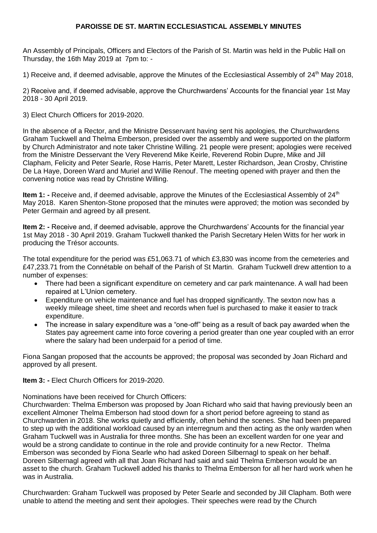## **PAROISSE DE ST. MARTIN ECCLESIASTICAL ASSEMBLY MINUTES**

An Assembly of Principals, Officers and Electors of the Parish of St. Martin was held in the Public Hall on Thursday, the 16th May 2019 at 7pm to: -

1) Receive and, if deemed advisable, approve the Minutes of the Ecclesiastical Assembly of  $24<sup>th</sup>$  May 2018,

2) Receive and, if deemed advisable, approve the Churchwardens' Accounts for the financial year 1st May 2018 - 30 April 2019.

3) Elect Church Officers for 2019-2020.

In the absence of a Rector, and the Ministre Desservant having sent his apologies, the Churchwardens Graham Tuckwell and Thelma Emberson, presided over the assembly and were supported on the platform by Church Administrator and note taker Christine Willing. 21 people were present; apologies were received from the Ministre Desservant the Very Reverend Mike Keirle, Reverend Robin Dupre, Mike and Jill Clapham, Felicity and Peter Searle, Rose Harris, Peter Marett, Lester Richardson, Jean Crosby, Christine De La Haye, Doreen Ward and Muriel and Willie Renouf. The meeting opened with prayer and then the convening notice was read by Christine Willing.

**Item 1: -** Receive and, if deemed advisable, approve the Minutes of the Ecclesiastical Assembly of 24<sup>th</sup> May 2018. Karen Shenton-Stone proposed that the minutes were approved; the motion was seconded by Peter Germain and agreed by all present.

**Item 2: -** Receive and, if deemed advisable, approve the Churchwardens' Accounts for the financial year 1st May 2018 - 30 April 2019. Graham Tuckwell thanked the Parish Secretary Helen Witts for her work in producing the Trésor accounts.

The total expenditure for the period was £51,063.71 of which £3,830 was income from the cemeteries and £47,233.71 from the Connétable on behalf of the Parish of St Martin. Graham Tuckwell drew attention to a number of expenses:

- There had been a significant expenditure on cemetery and car park maintenance. A wall had been repaired at L'Union cemetery.
- Expenditure on vehicle maintenance and fuel has dropped significantly. The sexton now has a weekly mileage sheet, time sheet and records when fuel is purchased to make it easier to track expenditure.
- The increase in salary expenditure was a "one-off" being as a result of back pay awarded when the States pay agreement came into force covering a period greater than one year coupled with an error where the salary had been underpaid for a period of time.

Fiona Sangan proposed that the accounts be approved; the proposal was seconded by Joan Richard and approved by all present.

**Item 3: -** Elect Church Officers for 2019-2020.

Nominations have been received for Church Officers:

Churchwarden: Thelma Emberson was proposed by Joan Richard who said that having previously been an excellent Almoner Thelma Emberson had stood down for a short period before agreeing to stand as Churchwarden in 2018. She works quietly and efficiently, often behind the scenes. She had been prepared to step up with the additional workload caused by an interregnum and then acting as the only warden when Graham Tuckwell was in Australia for three months. She has been an excellent warden for one year and would be a strong candidate to continue in the role and provide continuity for a new Rector. Thelma Emberson was seconded by Fiona Searle who had asked Doreen Silbernagl to speak on her behalf. Doreen Silbernagl agreed with all that Joan Richard had said and said Thelma Emberson would be an asset to the church. Graham Tuckwell added his thanks to Thelma Emberson for all her hard work when he was in Australia.

Churchwarden: Graham Tuckwell was proposed by Peter Searle and seconded by Jill Clapham. Both were unable to attend the meeting and sent their apologies. Their speeches were read by the Church